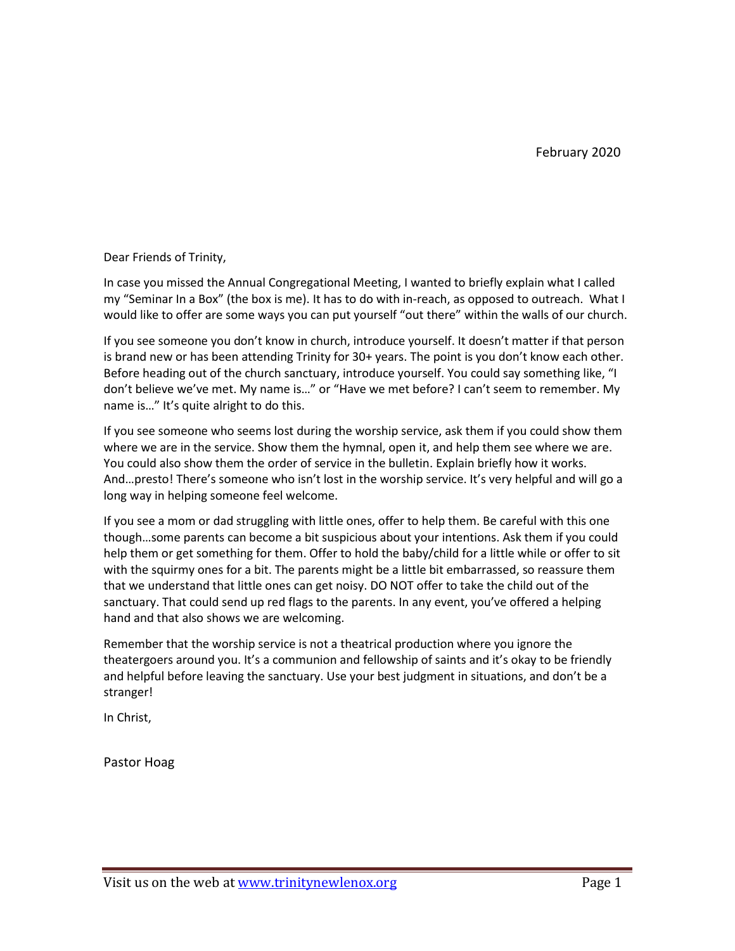Dear Friends of Trinity,

In case you missed the Annual Congregational Meeting, I wanted to briefly explain what I called my "Seminar In a Box" (the box is me). It has to do with in-reach, as opposed to outreach. What I would like to offer are some ways you can put yourself "out there" within the walls of our church.

If you see someone you don't know in church, introduce yourself. It doesn't matter if that person is brand new or has been attending Trinity for 30+ years. The point is you don't know each other. Before heading out of the church sanctuary, introduce yourself. You could say something like, "I don't believe we've met. My name is…" or "Have we met before? I can't seem to remember. My name is…" It's quite alright to do this.

If you see someone who seems lost during the worship service, ask them if you could show them where we are in the service. Show them the hymnal, open it, and help them see where we are. You could also show them the order of service in the bulletin. Explain briefly how it works. And…presto! There's someone who isn't lost in the worship service. It's very helpful and will go a long way in helping someone feel welcome.

If you see a mom or dad struggling with little ones, offer to help them. Be careful with this one though…some parents can become a bit suspicious about your intentions. Ask them if you could help them or get something for them. Offer to hold the baby/child for a little while or offer to sit with the squirmy ones for a bit. The parents might be a little bit embarrassed, so reassure them that we understand that little ones can get noisy. DO NOT offer to take the child out of the sanctuary. That could send up red flags to the parents. In any event, you've offered a helping hand and that also shows we are welcoming.

Remember that the worship service is not a theatrical production where you ignore the theatergoers around you. It's a communion and fellowship of saints and it's okay to be friendly and helpful before leaving the sanctuary. Use your best judgment in situations, and don't be a stranger!

In Christ,

Pastor Hoag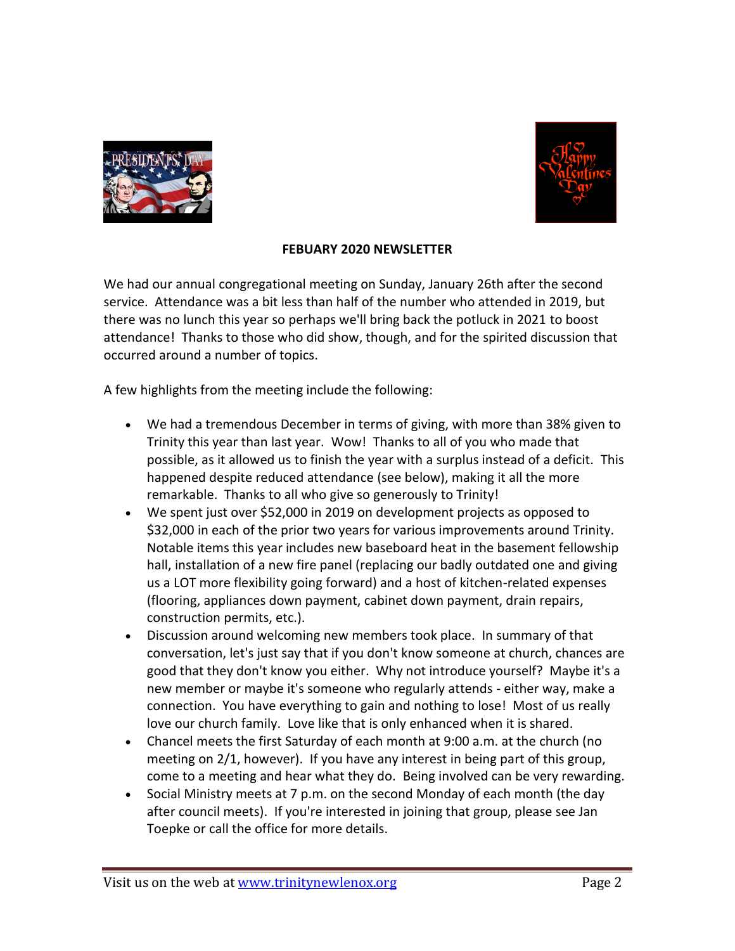



## **FEBUARY 2020 NEWSLETTER**

We had our annual congregational meeting on Sunday, January 26th after the second service. Attendance was a bit less than half of the number who attended in 2019, but there was no lunch this year so perhaps we'll bring back the potluck in 2021 to boost attendance! Thanks to those who did show, though, and for the spirited discussion that occurred around a number of topics.

A few highlights from the meeting include the following:

- We had a tremendous December in terms of giving, with more than 38% given to Trinity this year than last year. Wow! Thanks to all of you who made that possible, as it allowed us to finish the year with a surplus instead of a deficit. This happened despite reduced attendance (see below), making it all the more remarkable. Thanks to all who give so generously to Trinity!
- We spent just over \$52,000 in 2019 on development projects as opposed to \$32,000 in each of the prior two years for various improvements around Trinity. Notable items this year includes new baseboard heat in the basement fellowship hall, installation of a new fire panel (replacing our badly outdated one and giving us a LOT more flexibility going forward) and a host of kitchen-related expenses (flooring, appliances down payment, cabinet down payment, drain repairs, construction permits, etc.).
- Discussion around welcoming new members took place. In summary of that conversation, let's just say that if you don't know someone at church, chances are good that they don't know you either. Why not introduce yourself? Maybe it's a new member or maybe it's someone who regularly attends - either way, make a connection. You have everything to gain and nothing to lose! Most of us really love our church family. Love like that is only enhanced when it is shared.
- Chancel meets the first Saturday of each month at 9:00 a.m. at the church (no meeting on 2/1, however). If you have any interest in being part of this group, come to a meeting and hear what they do. Being involved can be very rewarding.
- Social Ministry meets at 7 p.m. on the second Monday of each month (the day after council meets). If you're interested in joining that group, please see Jan Toepke or call the office for more details.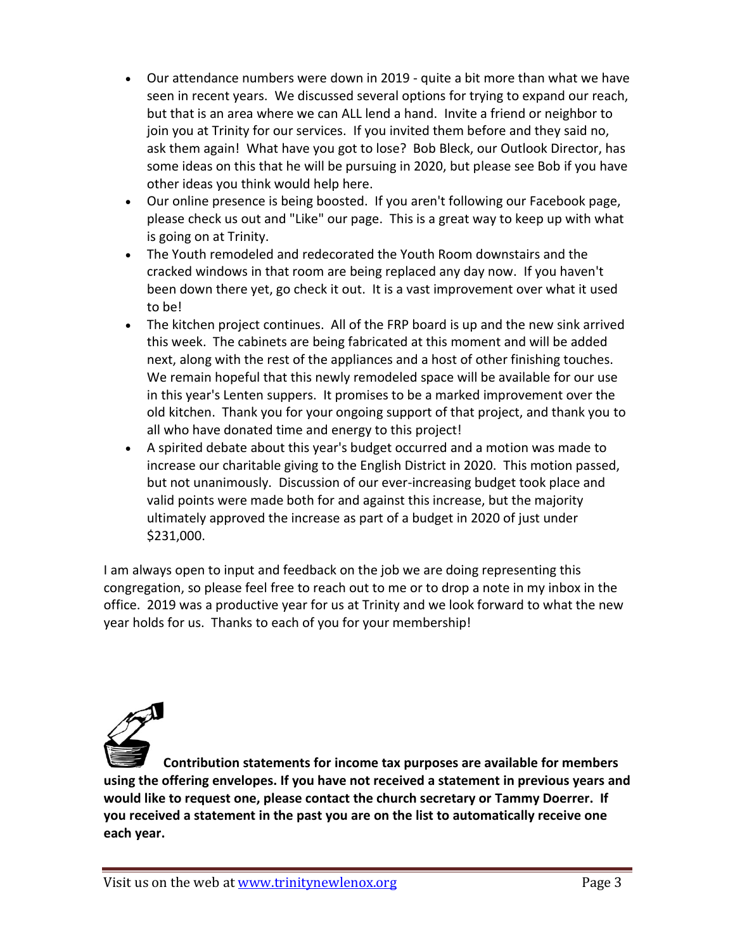- Our attendance numbers were down in 2019 quite a bit more than what we have seen in recent years. We discussed several options for trying to expand our reach, but that is an area where we can ALL lend a hand. Invite a friend or neighbor to join you at Trinity for our services. If you invited them before and they said no, ask them again! What have you got to lose? Bob Bleck, our Outlook Director, has some ideas on this that he will be pursuing in 2020, but please see Bob if you have other ideas you think would help here.
- Our online presence is being boosted. If you aren't following our Facebook page, please check us out and "Like" our page. This is a great way to keep up with what is going on at Trinity.
- The Youth remodeled and redecorated the Youth Room downstairs and the cracked windows in that room are being replaced any day now. If you haven't been down there yet, go check it out. It is a vast improvement over what it used to be!
- The kitchen project continues. All of the FRP board is up and the new sink arrived this week. The cabinets are being fabricated at this moment and will be added next, along with the rest of the appliances and a host of other finishing touches. We remain hopeful that this newly remodeled space will be available for our use in this year's Lenten suppers. It promises to be a marked improvement over the old kitchen. Thank you for your ongoing support of that project, and thank you to all who have donated time and energy to this project!
- A spirited debate about this year's budget occurred and a motion was made to increase our charitable giving to the English District in 2020. This motion passed, but not unanimously. Discussion of our ever-increasing budget took place and valid points were made both for and against this increase, but the majority ultimately approved the increase as part of a budget in 2020 of just under \$231,000.

I am always open to input and feedback on the job we are doing representing this congregation, so please feel free to reach out to me or to drop a note in my inbox in the office. 2019 was a productive year for us at Trinity and we look forward to what the new year holds for us. Thanks to each of you for your membership!



**Contribution statements for income tax purposes are available for members using the offering envelopes. If you have not received a statement in previous years and would like to request one, please contact the church secretary or Tammy Doerrer. If you received a statement in the past you are on the list to automatically receive one each year.**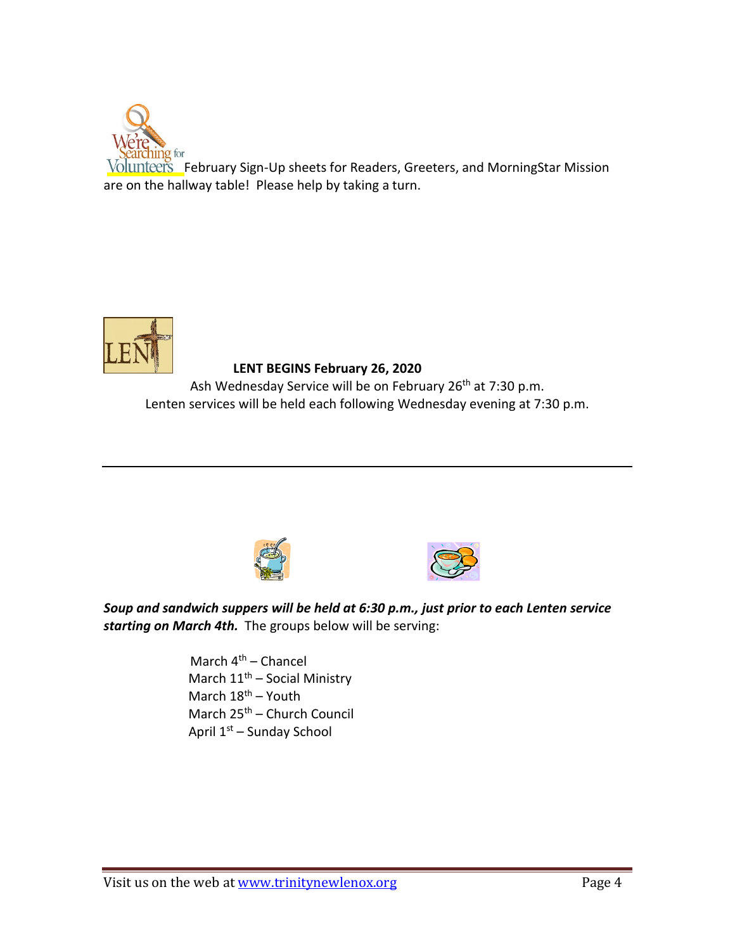

**Fig.** February Sign-Up sheets for Readers, Greeters, and MorningStar Mission are on the hallway table! Please help by taking a turn.



## **LENT BEGINS February 26, 2020**

Ash Wednesday Service will be on February 26<sup>th</sup> at 7:30 p.m. Lenten services will be held each following Wednesday evening at 7:30 p.m.





*Soup and sandwich suppers will be held at 6:30 p.m., just prior to each Lenten service starting on March 4th.* The groups below will be serving:

> March  $4<sup>th</sup>$  – Chancel March  $11<sup>th</sup>$  – Social Ministry March  $18^{th}$  – Youth March 25<sup>th</sup> – Church Council April 1st – Sunday School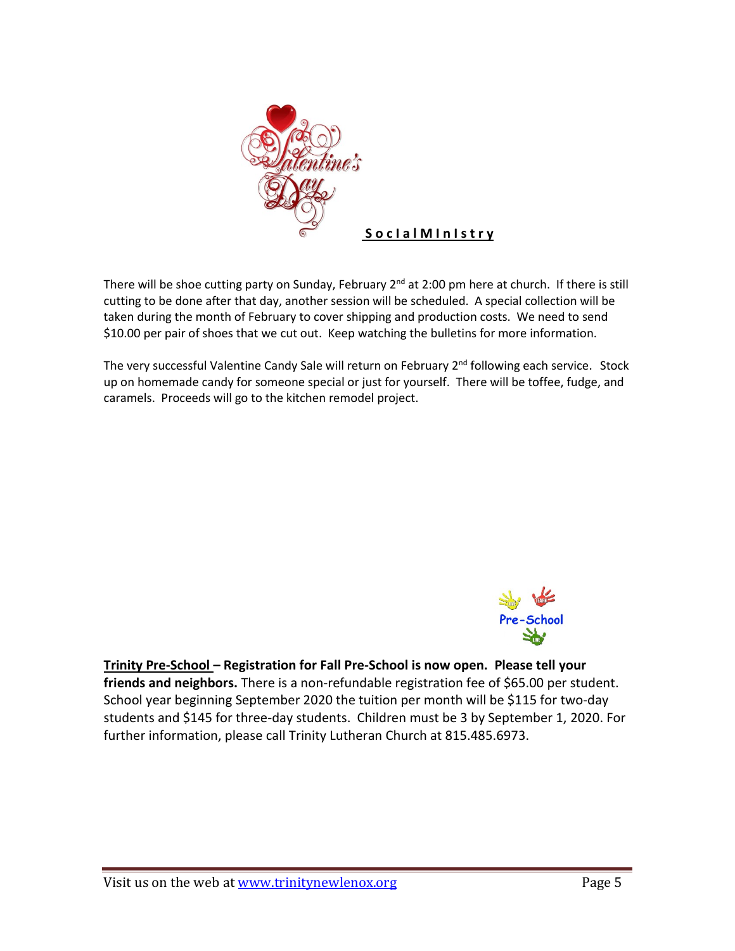

There will be shoe cutting party on Sunday, February 2<sup>nd</sup> at 2:00 pm here at church. If there is still cutting to be done after that day, another session will be scheduled. A special collection will be taken during the month of February to cover shipping and production costs. We need to send \$10.00 per pair of shoes that we cut out. Keep watching the bulletins for more information.

The very successful Valentine Candy Sale will return on February 2<sup>nd</sup> following each service. Stock up on homemade candy for someone special or just for yourself. There will be toffee, fudge, and caramels. Proceeds will go to the kitchen remodel project.



**Trinity Pre-School – Registration for Fall Pre-School is now open. Please tell your friends and neighbors.** There is a non-refundable registration fee of \$65.00 per student. School year beginning September 2020 the tuition per month will be \$115 for two-day students and \$145 for three-day students. Children must be 3 by September 1, 2020. For further information, please call Trinity Lutheran Church at 815.485.6973.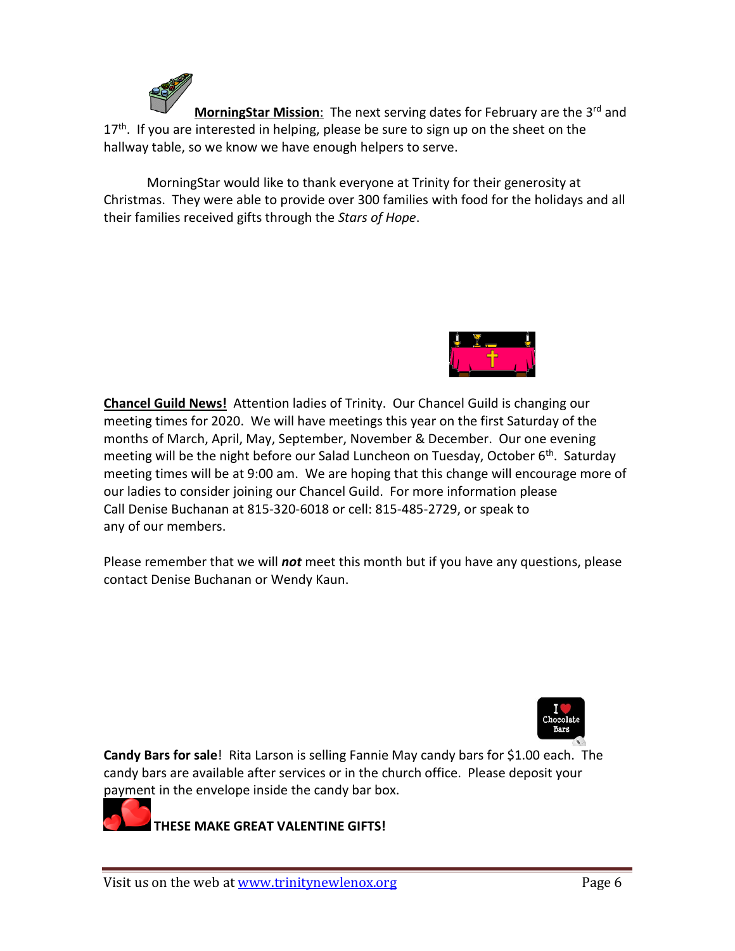MorningStar Mission: The next serving dates for February are the 3<sup>rd</sup> and 17<sup>th</sup>. If you are interested in helping, please be sure to sign up on the sheet on the hallway table, so we know we have enough helpers to serve.

MorningStar would like to thank everyone at Trinity for their generosity at Christmas. They were able to provide over 300 families with food for the holidays and all their families received gifts through the *Stars of Hope*.



**Chancel Guild News!** Attention ladies of Trinity. Our Chancel Guild is changing our meeting times for 2020. We will have meetings this year on the first Saturday of the months of March, April, May, September, November & December. Our one evening meeting will be the night before our Salad Luncheon on Tuesday, October 6<sup>th</sup>. Saturday meeting times will be at 9:00 am. We are hoping that this change will encourage more of our ladies to consider joining our Chancel Guild. For more information please Call Denise Buchanan at 815-320-6018 or cell: 815-485-2729, or speak to any of our members.

Please remember that we will *not* meet this month but if you have any questions, please contact Denise Buchanan or Wendy Kaun.



**Candy Bars for sale**! Rita Larson is selling Fannie May candy bars for \$1.00 each. The candy bars are available after services or in the church office. Please deposit your payment in the envelope inside the candy bar box.

**THESE MAKE GREAT VALENTINE GIFTS!**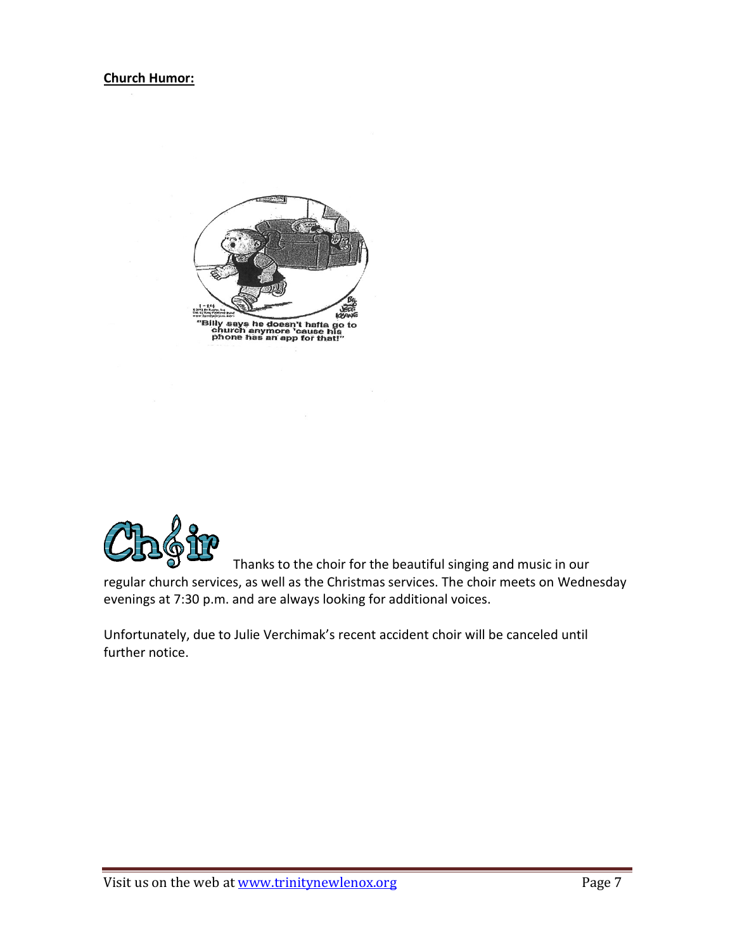



Thanks to the choir for the beautiful singing and music in our

regular church services, as well as the Christmas services. The choir meets on Wednesday evenings at 7:30 p.m. and are always looking for additional voices.

Unfortunately, due to Julie Verchimak's recent accident choir will be canceled until further notice.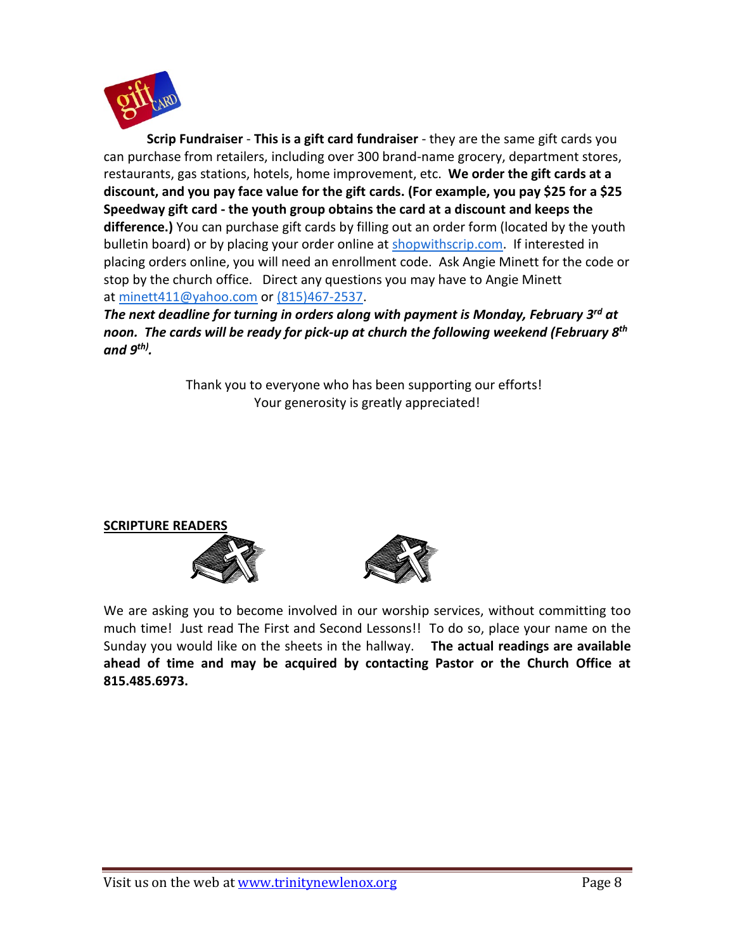

**Scrip Fundraiser** - **This is a gift card fundraiser** - they are the same gift cards you can purchase from retailers, including over 300 brand-name grocery, department stores, restaurants, gas stations, hotels, home improvement, etc. **We order the gift cards at a discount, and you pay face value for the gift cards. (For example, you pay \$25 for a \$25 Speedway gift card - the youth group obtains the card at a discount and keeps the difference.)** You can purchase gift cards by filling out an order form (located by the youth bulletin board) or by placing your order online at [shopwithscrip.com.](http://shopwithscrip.com/) If interested in placing orders online, you will need an enrollment code. Ask Angie Minett for the code or stop by the church office. Direct any questions you may have to Angie Minett at [minett411@yahoo.com](mailto:minett411@yahoo.com) or (815)467-2537.

*The next deadline for turning in orders along with payment is Monday, February 3 rd at noon. The cards will be ready for pick-up at church the following weekend (February 8 th and 9 th) .*

> Thank you to everyone who has been supporting our efforts! Your generosity is greatly appreciated!

## **SCRIPTURE READERS**





We are asking you to become involved in our worship services, without committing too much time! Just read The First and Second Lessons!! To do so, place your name on the Sunday you would like on the sheets in the hallway. **The actual readings are available ahead of time and may be acquired by contacting Pastor or the Church Office at 815.485.6973.**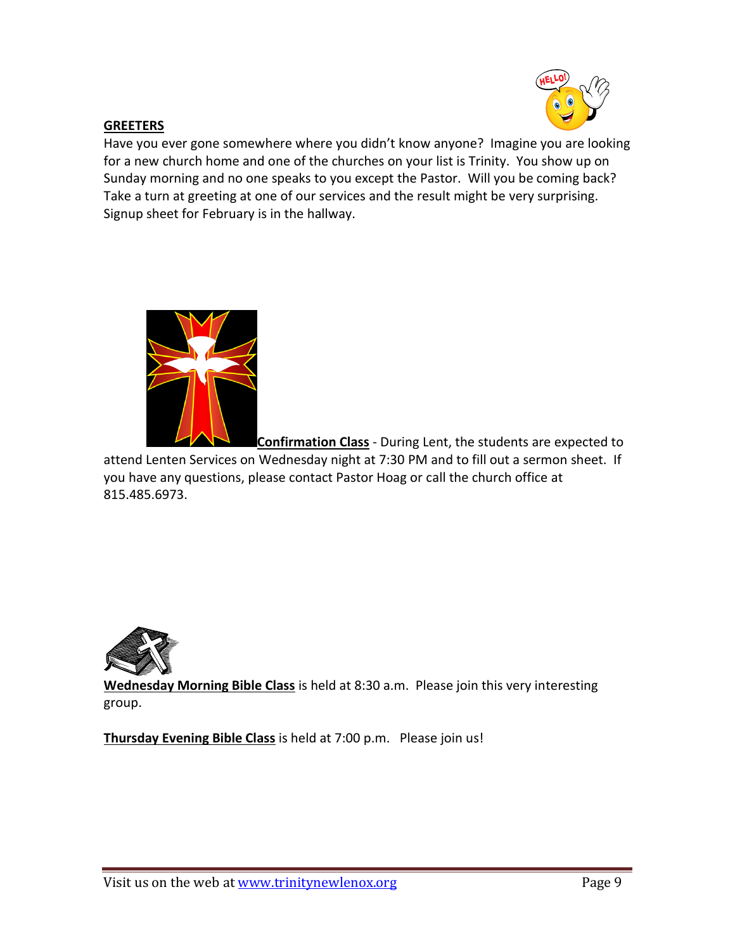

## **GREETERS**

Have you ever gone somewhere where you didn't know anyone? Imagine you are looking for a new church home and one of the churches on your list is Trinity. You show up on Sunday morning and no one speaks to you except the Pastor. Will you be coming back? Take a turn at greeting at one of our services and the result might be very surprising. Signup sheet for February is in the hallway.



**Confirmation Class** - During Lent, the students are expected to

attend Lenten Services on Wednesday night at 7:30 PM and to fill out a sermon sheet. If you have any questions, please contact Pastor Hoag or call the church office at 815.485.6973.



**Wednesday Morning Bible Class** is held at 8:30 a.m. Please join this very interesting group.

**Thursday Evening Bible Class** is held at 7:00 p.m. Please join us!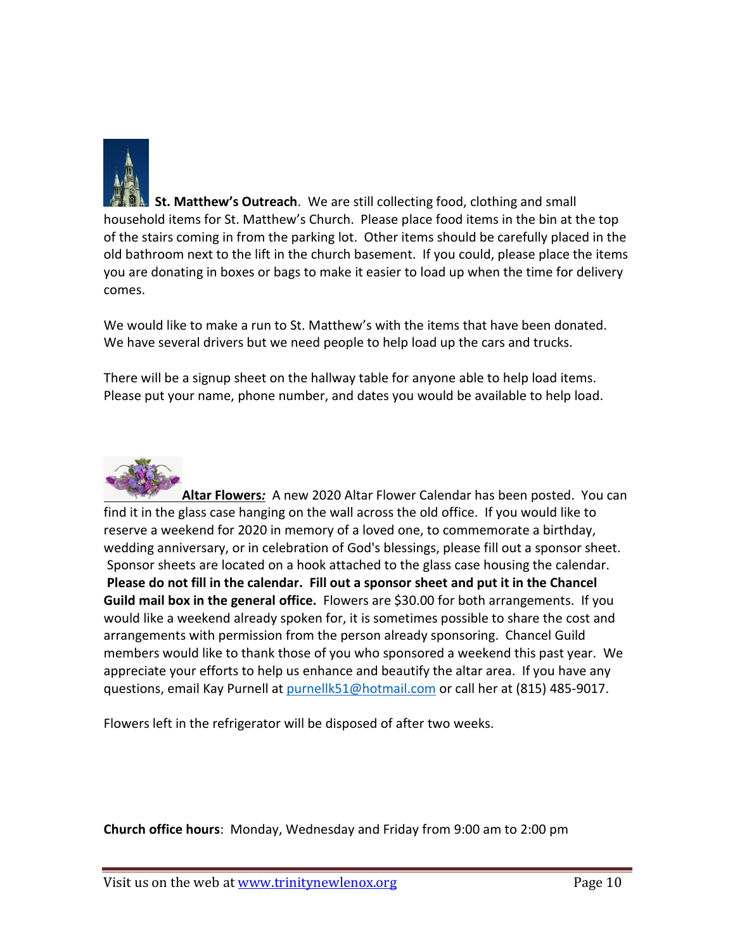

 **St. Matthew's Outreach**. We are still collecting food, clothing and small household items for St. Matthew's Church. Please place food items in the bin at the top of the stairs coming in from the parking lot. Other items should be carefully placed in the old bathroom next to the lift in the church basement. If you could, please place the items you are donating in boxes or bags to make it easier to load up when the time for delivery comes.

We would like to make a run to St. Matthew's with the items that have been donated. We have several drivers but we need people to help load up the cars and trucks.

There will be a signup sheet on the hallway table for anyone able to help load items. Please put your name, phone number, and dates you would be available to help load.



**Altar Flowers***:* A new 2020 Altar Flower Calendar has been posted. You can find it in the glass case hanging on the wall across the old office. If you would like to reserve a weekend for 2020 in memory of a loved one, to commemorate a birthday, wedding anniversary, or in celebration of God's blessings, please fill out a sponsor sheet. Sponsor sheets are located on a hook attached to the glass case housing the calendar. **Please do not fill in the calendar. Fill out a sponsor sheet and put it in the Chancel Guild mail box in the general office.** Flowers are \$30.00 for both arrangements. If you would like a weekend already spoken for, it is sometimes possible to share the cost and arrangements with permission from the person already sponsoring. Chancel Guild members would like to thank those of you who sponsored a weekend this past year. We appreciate your efforts to help us enhance and beautify the altar area. If you have any questions, email Kay Purnell at [purnellk51@hotmail.com](mailto:purnellk51@hotmail.com) or call her at (815) 485-9017.

Flowers left in the refrigerator will be disposed of after two weeks.

**Church office hours**: Monday, Wednesday and Friday from 9:00 am to 2:00 pm

Visit us on the web at [www.trinitynewlenox.org](http://www.trinitynewlenox.org/) Page 10